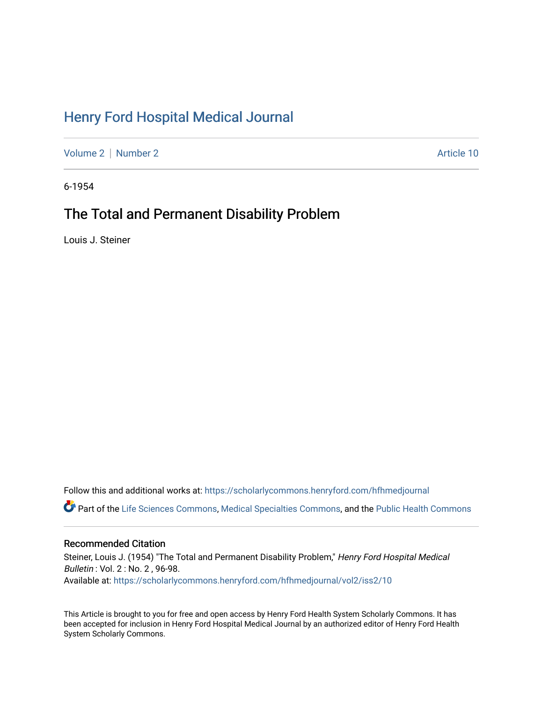# [Henry Ford Hospital Medical Journal](https://scholarlycommons.henryford.com/hfhmedjournal)

[Volume 2](https://scholarlycommons.henryford.com/hfhmedjournal/vol2) [Number 2](https://scholarlycommons.henryford.com/hfhmedjournal/vol2/iss2) Article 10

6-1954

## The Total and Permanent Disability Problem

Louis J. Steiner

Follow this and additional works at: [https://scholarlycommons.henryford.com/hfhmedjournal](https://scholarlycommons.henryford.com/hfhmedjournal?utm_source=scholarlycommons.henryford.com%2Fhfhmedjournal%2Fvol2%2Fiss2%2F10&utm_medium=PDF&utm_campaign=PDFCoverPages) Part of the [Life Sciences Commons,](http://network.bepress.com/hgg/discipline/1016?utm_source=scholarlycommons.henryford.com%2Fhfhmedjournal%2Fvol2%2Fiss2%2F10&utm_medium=PDF&utm_campaign=PDFCoverPages) [Medical Specialties Commons](http://network.bepress.com/hgg/discipline/680?utm_source=scholarlycommons.henryford.com%2Fhfhmedjournal%2Fvol2%2Fiss2%2F10&utm_medium=PDF&utm_campaign=PDFCoverPages), and the [Public Health Commons](http://network.bepress.com/hgg/discipline/738?utm_source=scholarlycommons.henryford.com%2Fhfhmedjournal%2Fvol2%2Fiss2%2F10&utm_medium=PDF&utm_campaign=PDFCoverPages) 

## Recommended Citation

Steiner, Louis J. (1954) "The Total and Permanent Disability Problem," Henry Ford Hospital Medical Bulletin : Vol. 2 : No. 2 , 96-98. Available at: [https://scholarlycommons.henryford.com/hfhmedjournal/vol2/iss2/10](https://scholarlycommons.henryford.com/hfhmedjournal/vol2/iss2/10?utm_source=scholarlycommons.henryford.com%2Fhfhmedjournal%2Fvol2%2Fiss2%2F10&utm_medium=PDF&utm_campaign=PDFCoverPages)

This Article is brought to you for free and open access by Henry Ford Health System Scholarly Commons. It has been accepted for inclusion in Henry Ford Hospital Medical Journal by an authorized editor of Henry Ford Health System Scholarly Commons.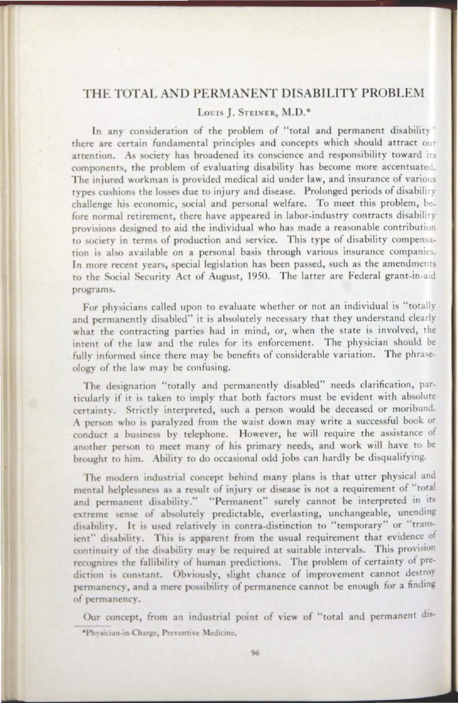### THE TOTAL AND PERMANENT DISABILITY PROBLEM

#### LOUIS L. STEINER, M.D.\*

In any consideration of the problem of "total and permanent disability" there are certain fundamental principles and concepts which should attract our attention. As society has broadened its conscience and responsibility toward its components, the problem of evaluating disability has become more accentuated. The injured workman is provided medical aid under law, and insurance of various types cushions the losses due to injury and disease. Prolonged periods of disability challenge his economic, social and personal welfare. To meet this problem, before normal retirement, there have appeared in labor-industry contracts disability provisions designed to aid the individual who has made a reasonable contribution to society in terms of production and service. This type of disability compensation is also available on a personal basis through various insurance companies. In more recent years, special legislation has been passed, such as the amendments to the Social Security Act of August, 1950. The latter are Federal grant-in-aid programs.

For physicians called upon to evaluate whether or not an individual is "totally and permanently disabled" it is absolutely necessary that they understand clearly what the contracting parties had in mind, or, when the state is involved, the intent of the law and the rules for its enforcement. The physician should be fully informed since there may be benefits of considerable variation. The phraseology of the law may be confusing.

The designation "totally and permanently disabled" needs clarification, particularly if it is taken to imply that both factors must be evident with absolute certainty. Strictly interpreted, such a person would be deceased or moribund. A person who is paralyzed from the waist down may write a successful book or conduct a business by telephone. However, he will require the assistance of another person to meet many of his primary needs, and work will have to be brought to him. Ability to do occasional odd jobs can hardly be disqualifying.

The modern industrial concept behind many plans is that utter physical and mental helplessness as a result of injury or disease is not a requirement of "total and permanent disability." "Permanent" surely cannot be interpreted in its extreme sense of absolutely predictable, everlasting, unchangeable, unending disability. It is used relatively in contra-distinction to "temporary" or "transient" disability. This is apparent from the usual requirement that evidence of continuity of the disability may be required at suitable intervals. This provision recognizes the fallibility of human predictions. The problem of certainty of prediction is constant. Obviously, slight chance of improvement cannot destroy permanency, and a mere possibility of permanence cannot be enough for a finding of permanency.

Our concept, from an industrial point of view of "total and permanent dis-\*Physician-in-Charge, Preventive Medicine.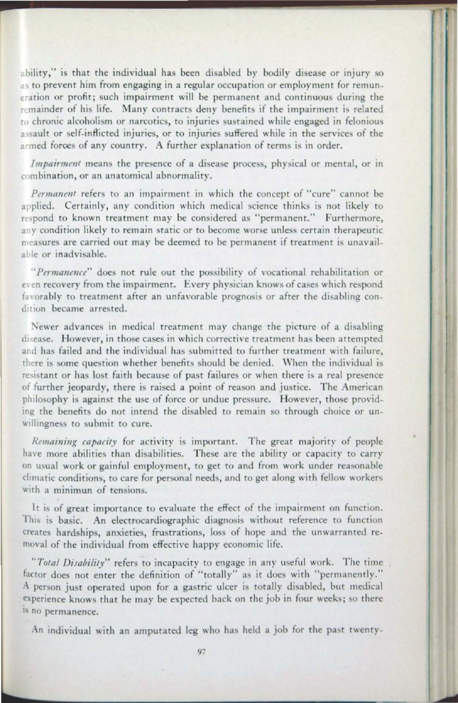ability," is that the individual has been disabled by bodily disease or injury so as to prevent him from engaging in a regular occupation or employment for remuneration or profit; such impairment will be permanent and continuous during the remainder of his life. Many contracts deny benefits if the impairment is related to chronic alcoholism or narcotics, to injuries sustained while engaged in felonious assault or self-inflicted injuries, or to injuries suffered while in the services of the armed forces of any country. A further explanation of terms is in order.

*Impairment* means the presence of a disease process, physical or mental, or in combination, or an anatomical abnormality.

Permanent refers to an impairment in which the concept of "cure" cannot be applied. Certainly, any condition which medical science thinks is not likely to respond to known treatment may be considered as "permanent." Furthermore, any condition likely to remain static or to become worse unless certain therapeutic measures are carried out may be deemed to be permanent if treatment is unavailable or inadvisable.

"Permanence" does not rule out the possibility of vocational rehabilitation or even recovery from the impairment. Every physician knows of cases which respond favorably to treatment after an unfavorable prognosis or after the disabling condition became arrested.

Newer advances in medical treatment may change the picture of a disabling disease. However, in those cases in which corrective treatment has been attempted and has failed and the individual has submitted to further treatment with failure, there is some question whether benefits should be denied. When the individual is resistant or has lost faith because of past failures or when there is a real presence of further jeopardy, there is raised a point of reason and justice. The American philosophy is against the use of force or undue pressure. However, those providing the benefits do not intend the disabled to remain so through choice or unwillingness to submit to cure.

*Remaining capacity* for activity is important. The great majority of people have more abilities than disabilities. These are the ability or capacity to carry on usual work or gainful employment, to get to and from work under reasonable climatic conditions, to care for personal needs, and to get along with fellow workers with a minimun of tensions.

It is of great importance to evaluate the effect of the impairment on function. This is basic. An electrocardiographic diagnosis without reference to function creates hardships, anxieties, frustrations, loss of hope and the unwarranted removal of the individual from effective happy economic life.

"Total Disability" refers to incapacity to engage in any useful work. The time factor does not enter the definition of "totally" as it does with "permanently." A person just operated upon for a gastric ulcer is totally disabled, but medical experience knows that he may be expected back on the job in four weeks; so there is no permanence.

An individual with an amputated leg who has held a job for the past twenty-

--